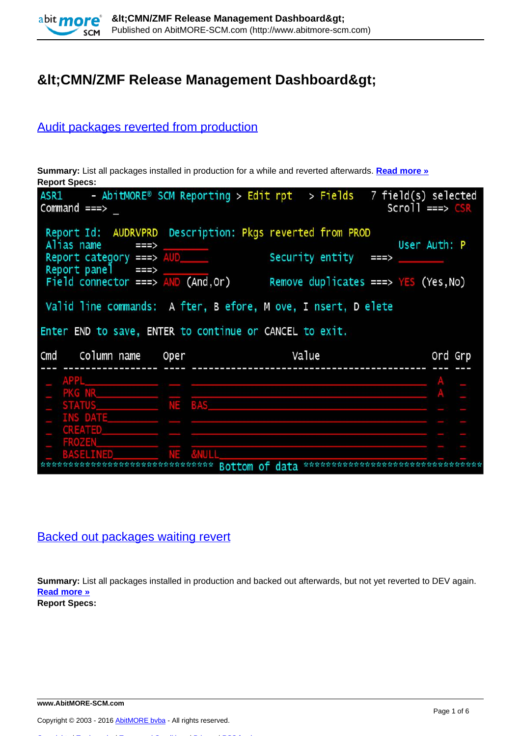

# **&It;CMN/ZMF Release Management Dashboard>**

#### [Audit packages reverted from production](http://www.abitmore-scm.com/products/reporting/builtin-reports/audrvprd)

**Summary:** List all packages installed in production for a while and reverted afterwards. **[Read more »](http://www.abitmore-scm.com/products/reporting/builtin-reports/audrvprd) Report Specs:** 

| $ASR1$ - AbitMORE® SCM Reporting > Edit rpt > Fields 7 field(s) selected<br>Command ===>                                                                                                                                                                                                                     |                      | $Scrol1$ ===> $CSR$                                    |
|--------------------------------------------------------------------------------------------------------------------------------------------------------------------------------------------------------------------------------------------------------------------------------------------------------------|----------------------|--------------------------------------------------------|
| Report Id: AUDRVPRD Description: Pkgs reverted from PROD<br>Alias name<br>$\Rightarrow$<br>Report category ===> AUD<br>Report panel $==$<br>Field connector ===> $AND (And, Or)$<br>Valid line commands: A fter, B efore, M ove, I nsert, D elete<br>Enter END to save, ENTER to continue or CANCEL to exit. | Security entity ===> | User Auth: P<br>Remove duplicates ===> $YES$ (Yes, No) |
| Cmd Column name Oper                                                                                                                                                                                                                                                                                         | Value                | Ord Grp                                                |
| <b>APPL___</b><br>PKG NR<br>STATUS NE BAS<br>INS DATE<br><b>CREATED</b>                                                                                                                                                                                                                                      |                      |                                                        |
| <b>ASFLINED</b>                                                                                                                                                                                                                                                                                              | Bottom of data       |                                                        |

### [Backed out packages waiting revert](http://www.abitmore-scm.com/products/reporting/builtin-reports/queuerev)

**Summary:** List all packages installed in production and backed out afterwards, but not yet reverted to DEV again. **[Read more »](http://www.abitmore-scm.com/products/reporting/builtin-reports/queuerev) Report Specs:**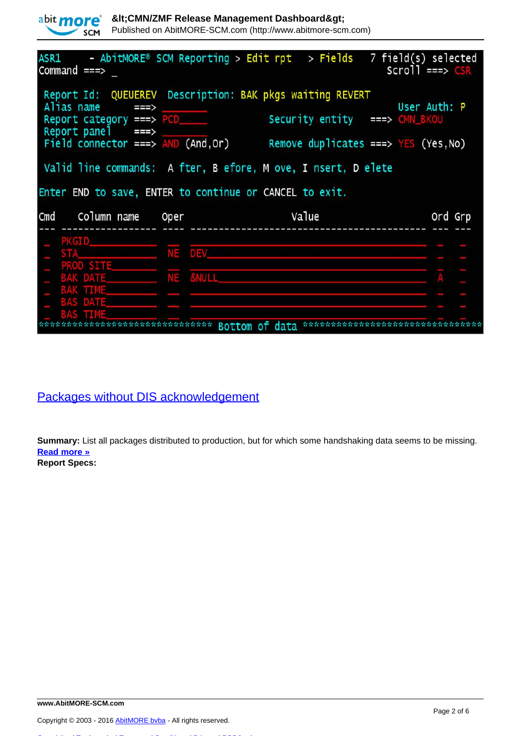

Published on AbitMORE-SCM.com (http://www.abitmore-scm.com)

| Command ===>                                                                                                                                                                                                                                                                                                                                                                                     |                               | $ASR1$ - $AbitMORE^{\circ}$ SCM Reporting > Edit rpt > Fields 7 field(s) selected | $Scrol1$ ===> $CSR$ |  |  |
|--------------------------------------------------------------------------------------------------------------------------------------------------------------------------------------------------------------------------------------------------------------------------------------------------------------------------------------------------------------------------------------------------|-------------------------------|-----------------------------------------------------------------------------------|---------------------|--|--|
| Report Id: QUEUEREV Description: BAK pkgs waiting REVERT<br>Alias name<br>User Auth: P<br>===><br>Security entity ===> CMN_BKOU<br>Report category ===> PCD<br>Report panel $==$ ><br>Field connector ===> $AND (And, Or)$<br>Remove duplicates ===> $YES$ (Yes, No)<br>Valid line commands: A fter, B efore, M ove, I nsert, D elete<br>Enter END to save, ENTER to continue or CANCEL to exit. |                               |                                                                                   |                     |  |  |
|                                                                                                                                                                                                                                                                                                                                                                                                  |                               |                                                                                   |                     |  |  |
| Column name<br>Cmd                                                                                                                                                                                                                                                                                                                                                                               | Oper                          | Value                                                                             | Ord Grp             |  |  |
| <b>PKGID</b>                                                                                                                                                                                                                                                                                                                                                                                     |                               |                                                                                   |                     |  |  |
| <b>PROD SITE</b>                                                                                                                                                                                                                                                                                                                                                                                 | NE DEV                        |                                                                                   |                     |  |  |
| DATE                                                                                                                                                                                                                                                                                                                                                                                             | <b>&amp;NULL</b><br><b>NE</b> |                                                                                   |                     |  |  |
|                                                                                                                                                                                                                                                                                                                                                                                                  |                               |                                                                                   |                     |  |  |
|                                                                                                                                                                                                                                                                                                                                                                                                  |                               |                                                                                   |                     |  |  |
|                                                                                                                                                                                                                                                                                                                                                                                                  |                               | Bottom of data                                                                    |                     |  |  |

[Packages without DIS acknowledgement](http://www.abitmore-scm.com/products/reporting/builtin-reports/noackdis)

**Summary:** List all packages distributed to production, but for which some handshaking data seems to be missing. **[Read more »](http://www.abitmore-scm.com/products/reporting/builtin-reports/noackdis)**

**Report Specs:**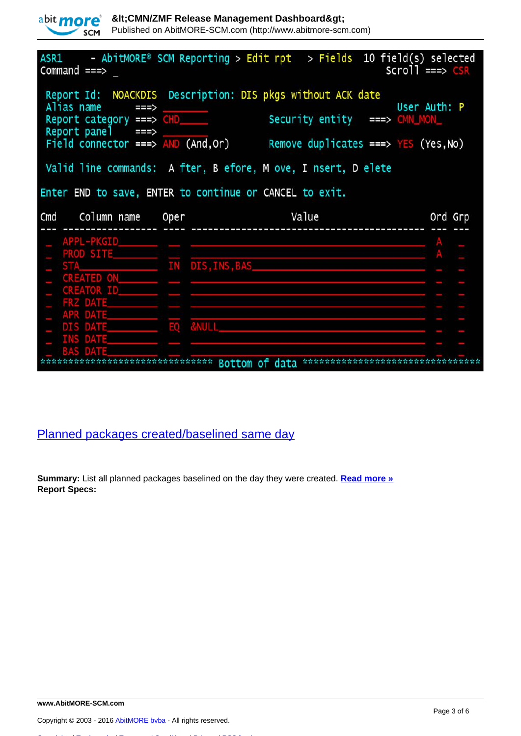abit more<sup>®</sup> **SCM** 

Published on AbitMORE-SCM.com (http://www.abitmore-scm.com)

|                                                                                                                                                                                                                                                                                                                                                                                                           | $ASR1$ - AbitMORE® SCM Reporting > Edit rpt > Fields 10 field(s) selected | $scr1 = \Rightarrow \csc R$ |  |  |
|-----------------------------------------------------------------------------------------------------------------------------------------------------------------------------------------------------------------------------------------------------------------------------------------------------------------------------------------------------------------------------------------------------------|---------------------------------------------------------------------------|-----------------------------|--|--|
| Report Id: NOACKDIS Description: DIS pkgs without ACK date<br>Alias name<br>User Auth: P<br>$\Rightarrow$<br>Security entity ===> CMN_MON_<br>Report category ===> CHD<br>Report panel $==$<br>Field connector ===> $AND (And, Or)$<br>Remove duplicates ===> $YES$ (Yes, No)<br>Valid line commands: A fter, B efore, M ove, I nsert, D elete<br>Enter END to save, ENTER to continue or CANCEL to exit. |                                                                           |                             |  |  |
|                                                                                                                                                                                                                                                                                                                                                                                                           | Value                                                                     | Ord Grp                     |  |  |
| APPL-PKGID_______                                                                                                                                                                                                                                                                                                                                                                                         |                                                                           |                             |  |  |
|                                                                                                                                                                                                                                                                                                                                                                                                           | Cmd Column name Oper                                                      |                             |  |  |

[Planned packages created/baselined same day](http://www.abitmore-scm.com/products/reporting/builtin-reports/pkgbaspl)

**Summary:** List all planned packages baselined on the day they were created. **[Read more »](http://www.abitmore-scm.com/products/reporting/builtin-reports/pkgbaspl) Report Specs:**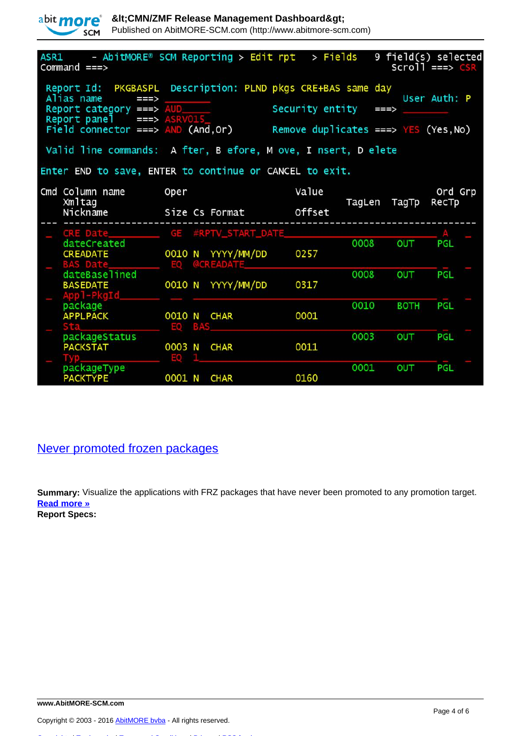

Published on AbitMORE-SCM.com (http://www.abitmore-scm.com)

| $ASR1$ - $AbitMORE^{\circ}$ SCM Reporting > Edit rpt > Fields<br>$Commonand == >$                                                                                                      |               |                                       |                                                           |              |             | 9 field(s) selected<br>$Scrol1 == > CSR$ |
|----------------------------------------------------------------------------------------------------------------------------------------------------------------------------------------|---------------|---------------------------------------|-----------------------------------------------------------|--------------|-------------|------------------------------------------|
| Report Id: PKGBASPL Description: PLND pkgs CRE+BAS same day<br>Alias name<br>$==->$<br>Report category ===> AUD<br>Report panel<br>$==>\qquad$<br>Field connector ===> $AND (And, Or)$ | ASRV01        |                                       | Security entity<br>Remove duplicates ===> $YES$ (Yes, No) | $==$         |             | User Auth: P                             |
| Valid line commands: A fter, B efore, M ove, I nsert, D elete                                                                                                                          |               |                                       |                                                           |              |             |                                          |
| Enter END to save, ENTER to continue or CANCEL to exit.                                                                                                                                |               |                                       |                                                           |              |             |                                          |
| Cmd Column name                                                                                                                                                                        | Oper          |                                       | Value                                                     |              |             | Ord Grp                                  |
| Xmltag<br>Nickname                                                                                                                                                                     |               | Size Cs Format                        | Offset                                                    | TagLen TagTp |             | RecTp                                    |
| CRE Date                                                                                                                                                                               |               | GE #RPTV_START_DATE__                 |                                                           |              |             |                                          |
| dateCreated<br><b>CREADATE</b><br><b>BAS Date</b>                                                                                                                                      | EΟ            | 0010 N YYYY/MM/DD<br><b>@CREADATE</b> | 0257                                                      | 0008         | OUT         | PGL                                      |
| dateBaselined<br><b>BASEDATE</b><br>p1-PkaId                                                                                                                                           | 0010 N        | YYYY/MM/DD                            | 0317                                                      | 0008         | OUT         | <b>PGL</b>                               |
| package<br><b>APPLPACK</b>                                                                                                                                                             | 0010 N<br>EO: | <b>CHAR</b><br><b>BAS</b>             | 0001                                                      | 0010         | <b>BOTH</b> | PGL                                      |
| packageStatus<br><b>PACKSTAT</b>                                                                                                                                                       | 0003 N        | <b>CHAR</b>                           | 0011                                                      | 0003         | OUT         | <b>PGL</b>                               |
| packageType<br><b>PACKTYPE</b>                                                                                                                                                         | 0001 N        | <b>CHAR</b>                           | 0160                                                      | 0001         | OUT         | <b>PGL</b>                               |

### [Never promoted frozen packages](http://www.abitmore-scm.com/products/reporting/builtin-reports/ppnoprm)

**Summary:** Visualize the applications with FRZ packages that have never been promoted to any promotion target. **[Read more »](http://www.abitmore-scm.com/products/reporting/builtin-reports/ppnoprm) Report Specs:**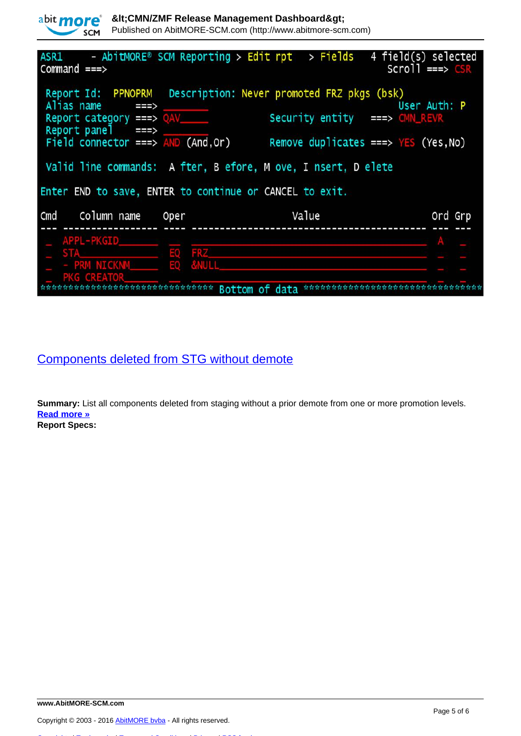| abit more <sup>®</sup><br><b>SCM</b>                                                                                                                                     |                                 | &ItCMN/ZMF Release Management Dashboard><br>Published on AbitMORE-SCM.com (http://www.abitmore-scm.com)                                                         |                                                        |
|--------------------------------------------------------------------------------------------------------------------------------------------------------------------------|---------------------------------|-----------------------------------------------------------------------------------------------------------------------------------------------------------------|--------------------------------------------------------|
| ASR1<br>Command $==$                                                                                                                                                     |                                 | - AbitMORE® SCM Reporting > Edit rpt > Fields                                                                                                                   | 4 field(s) selected<br>$Scrol1$ ===> $CSR$             |
| Alias name<br>===><br>Report category ===> QAV<br>Report panel<br>===><br>Field connector $==>$ AND (And, Or)<br>Enter END to save, ENTER to continue or CANCEL to exit. |                                 | Report Id: PPNOPRM Description: Never promoted FRZ pkgs (bsk)<br>Security entity ===> CMN_REVR<br>Valid line commands: A fter, B efore, M ove, I nsert, D elete | User Auth: P<br>Remove duplicates ===> $YES$ (Yes, No) |
| Cmd<br>Column name                                                                                                                                                       | Oper                            | Value                                                                                                                                                           | ord<br>Grp                                             |
| APPL-PKGID                                                                                                                                                               |                                 |                                                                                                                                                                 |                                                        |
| STA<br>PRM NICKNM                                                                                                                                                        | <b>FRZ</b><br>EΟ<br>*********** | Bottom of data                                                                                                                                                  |                                                        |

## [Components deleted from STG without demote](http://www.abitmore-scm.com/products/reporting/builtin-reports/pcdlnodm)

**Summary:** List all components deleted from staging without a prior demote from one or more promotion levels. **[Read more »](http://www.abitmore-scm.com/products/reporting/builtin-reports/pcdlnodm) Report Specs:**